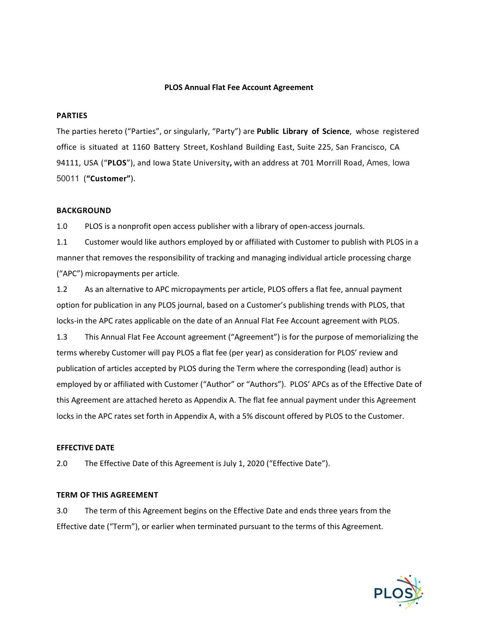#### **PLOS Annual Flat Fee Account Agreement**

#### **PARTIES**

The parties hereto ("Parties", or singularly, "Party") are **Public Library of Science**, whose registered office is situated at 1160 Battery Street, Koshland Building East, Suite 225, San Francisco, CA 94111, USA ("**PLOS**"), and Iowa State University**,** with an address at 701 Morrill Road, Ames, Iowa 50011 (**"Customer"**).

#### **BACKGROUND**

1.0 PLOS is a nonprofit open access publisher with a library of open-access journals.

1.1 Customer would like authors employed by or affiliated with Customer to publish with PLOS in a manner that removes the responsibility of tracking and managing individual article processing charge ("APC") micropayments per article.

1.2 As an alternative to APC micropayments per article, PLOS offers a flat fee, annual payment option for publication in any PLOS journal, based on a Customer's publishing trends with PLOS, that locks-in the APC rates applicable on the date of an Annual Flat Fee Account agreement with PLOS.

1.3 This Annual Flat Fee Account agreement ("Agreement") is for the purpose of memorializing the terms whereby Customer will pay PLOS a flat fee (per year) as consideration for PLOS' review and publication of articles accepted by PLOS during the Term where the corresponding (lead) author is employed by or affiliated with Customer ("Author" or "Authors"). PLOS' APCs as of the Effective Date of this Agreement are attached hereto as Appendix A. The flat fee annual payment under this Agreement locks in the APC rates set forth in Appendix A, with a 5% discount offered by PLOS to the Customer.

#### **EFFECTIVE DATE**

2.0 The Effective Date of this Agreement is July 1, 2020 ("Effective Date").

#### **TERM OF THIS AGREEMENT**

3.0 The term of this Agreement begins on the Effective Date and ends three years from the Effective date ("Term"), or earlier when terminated pursuant to the terms of this Agreement.

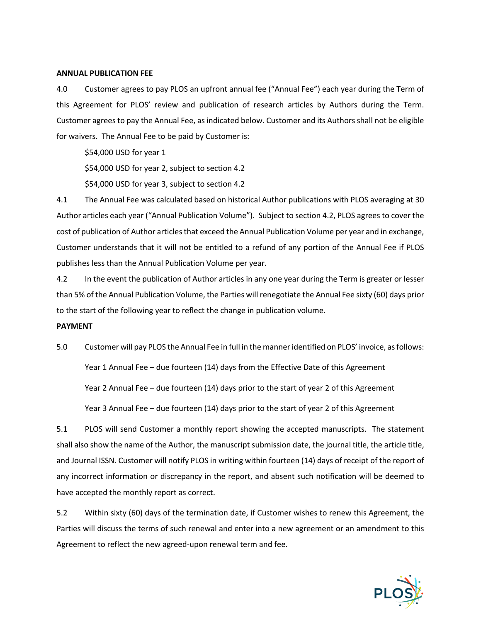#### **ANNUAL PUBLICATION FEE**

4.0 Customer agrees to pay PLOS an upfront annual fee ("Annual Fee") each year during the Term of this Agreement for PLOS' review and publication of research articles by Authors during the Term. Customer agrees to pay the Annual Fee, as indicated below. Customer and its Authors shall not be eligible for waivers. The Annual Fee to be paid by Customer is:

\$54,000 USD for year 1

\$54,000 USD for year 2, subject to section 4.2

\$54,000 USD for year 3, subject to section 4.2

4.1 The Annual Fee was calculated based on historical Author publications with PLOS averaging at 30 Author articles each year ("Annual Publication Volume"). Subject to section 4.2, PLOS agrees to cover the cost of publication of Author articles that exceed the Annual Publication Volume per year and in exchange, Customer understands that it will not be entitled to a refund of any portion of the Annual Fee if PLOS publishes less than the Annual Publication Volume per year.

4.2 In the event the publication of Author articles in any one year during the Term is greater or lesser than 5% of the Annual Publication Volume, the Parties will renegotiate the Annual Fee sixty (60) days prior to the start of the following year to reflect the change in publication volume.

## **PAYMENT**

5.0 Customer will pay PLOS the Annual Fee in full in the manner identified on PLOS' invoice, as follows: Year 1 Annual Fee – due fourteen (14) days from the Effective Date of this Agreement Year 2 Annual Fee – due fourteen (14) days prior to the start of year 2 of this Agreement Year 3 Annual Fee – due fourteen (14) days prior to the start of year 2 of this Agreement

5.1 PLOS will send Customer a monthly report showing the accepted manuscripts. The statement shall also show the name of the Author, the manuscript submission date, the journal title, the article title, and Journal ISSN. Customer will notify PLOS in writing within fourteen (14) days of receipt of the report of any incorrect information or discrepancy in the report, and absent such notification will be deemed to have accepted the monthly report as correct.

5.2 Within sixty (60) days of the termination date, if Customer wishes to renew this Agreement, the Parties will discuss the terms of such renewal and enter into a new agreement or an amendment to this Agreement to reflect the new agreed-upon renewal term and fee.

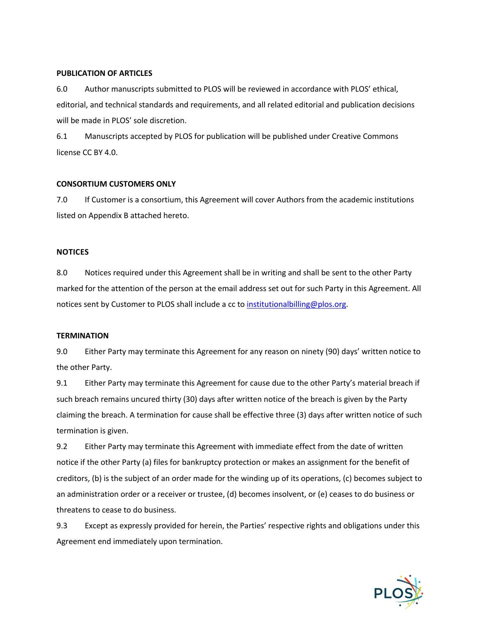## **PUBLICATION OF ARTICLES**

6.0 Author manuscripts submitted to PLOS will be reviewed in accordance with PLOS' ethical, editorial, and technical standards and requirements, and all related editorial and publication decisions will be made in PLOS' sole discretion.

6.1 Manuscripts accepted by PLOS for publication will be published under Creative Commons license CC BY 4.0.

#### **CONSORTIUM CUSTOMERS ONLY**

7.0 If Customer is a consortium, this Agreement will cover Authors from the academic institutions listed on Appendix B attached hereto.

## **NOTICES**

8.0 Notices required under this Agreement shall be in writing and shall be sent to the other Party marked for the attention of the person at the email address set out for such Party in this Agreement. All notices sent by Customer to PLOS shall include a cc to institutionalbilling@plos.org.

#### **TERMINATION**

9.0 Either Party may terminate this Agreement for any reason on ninety (90) days' written notice to the other Party.

9.1 Either Party may terminate this Agreement for cause due to the other Party's material breach if such breach remains uncured thirty (30) days after written notice of the breach is given by the Party claiming the breach. A termination for cause shall be effective three (3) days after written notice of such termination is given.

9.2 Either Party may terminate this Agreement with immediate effect from the date of written notice if the other Party (a) files for bankruptcy protection or makes an assignment for the benefit of creditors, (b) is the subject of an order made for the winding up of its operations, (c) becomes subject to an administration order or a receiver or trustee, (d) becomes insolvent, or (e) ceases to do business or threatens to cease to do business.

9.3 Except as expressly provided for herein, the Parties' respective rights and obligations under this Agreement end immediately upon termination.

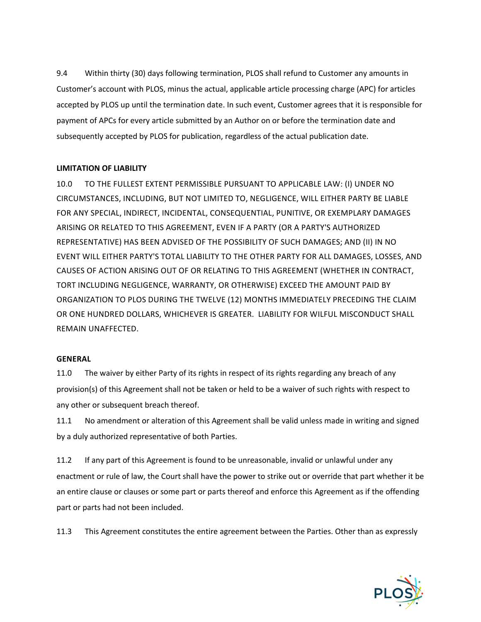9.4 Within thirty (30) days following termination, PLOS shall refund to Customer any amounts in Customer's account with PLOS, minus the actual, applicable article processing charge (APC) for articles accepted by PLOS up until the termination date. In such event, Customer agrees that it is responsible for payment of APCs for every article submitted by an Author on or before the termination date and subsequently accepted by PLOS for publication, regardless of the actual publication date.

## **LIMITATION OF LIABILITY**

10.0 TO THE FULLEST EXTENT PERMISSIBLE PURSUANT TO APPLICABLE LAW: (I) UNDER NO CIRCUMSTANCES, INCLUDING, BUT NOT LIMITED TO, NEGLIGENCE, WILL EITHER PARTY BE LIABLE FOR ANY SPECIAL, INDIRECT, INCIDENTAL, CONSEQUENTIAL, PUNITIVE, OR EXEMPLARY DAMAGES ARISING OR RELATED TO THIS AGREEMENT, EVEN IF A PARTY (OR A PARTY'S AUTHORIZED REPRESENTATIVE) HAS BEEN ADVISED OF THE POSSIBILITY OF SUCH DAMAGES; AND (II) IN NO EVENT WILL EITHER PARTY'S TOTAL LIABILITY TO THE OTHER PARTY FOR ALL DAMAGES, LOSSES, AND CAUSES OF ACTION ARISING OUT OF OR RELATING TO THIS AGREEMENT (WHETHER IN CONTRACT, TORT INCLUDING NEGLIGENCE, WARRANTY, OR OTHERWISE) EXCEED THE AMOUNT PAID BY ORGANIZATION TO PLOS DURING THE TWELVE (12) MONTHS IMMEDIATELY PRECEDING THE CLAIM OR ONE HUNDRED DOLLARS, WHICHEVER IS GREATER. LIABILITY FOR WILFUL MISCONDUCT SHALL REMAIN UNAFFECTED.

## **GENERAL**

11.0 The waiver by either Party of its rights in respect of its rights regarding any breach of any provision(s) of this Agreement shall not be taken or held to be a waiver of such rights with respect to any other or subsequent breach thereof.

11.1 No amendment or alteration of this Agreement shall be valid unless made in writing and signed by a duly authorized representative of both Parties.

11.2 If any part of this Agreement is found to be unreasonable, invalid or unlawful under any enactment or rule of law, the Court shall have the power to strike out or override that part whether it be an entire clause or clauses or some part or parts thereof and enforce this Agreement as if the offending part or parts had not been included.

11.3 This Agreement constitutes the entire agreement between the Parties. Other than as expressly

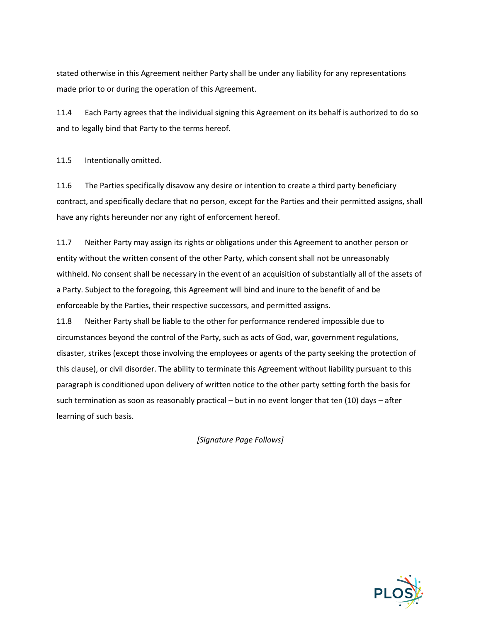stated otherwise in this Agreement neither Party shall be under any liability for any representations made prior to or during the operation of this Agreement.

11.4 Each Party agrees that the individual signing this Agreement on its behalf is authorized to do so and to legally bind that Party to the terms hereof.

11.5 Intentionally omitted.

11.6 The Parties specifically disavow any desire or intention to create a third party beneficiary contract, and specifically declare that no person, except for the Parties and their permitted assigns, shall have any rights hereunder nor any right of enforcement hereof.

11.7 Neither Party may assign its rights or obligations under this Agreement to another person or entity without the written consent of the other Party, which consent shall not be unreasonably withheld. No consent shall be necessary in the event of an acquisition of substantially all of the assets of a Party. Subject to the foregoing, this Agreement will bind and inure to the benefit of and be enforceable by the Parties, their respective successors, and permitted assigns.

11.8 Neither Party shall be liable to the other for performance rendered impossible due to circumstances beyond the control of the Party, such as acts of God, war, government regulations, disaster, strikes (except those involving the employees or agents of the party seeking the protection of this clause), or civil disorder. The ability to terminate this Agreement without liability pursuant to this paragraph is conditioned upon delivery of written notice to the other party setting forth the basis for such termination as soon as reasonably practical – but in no event longer that ten (10) days – after learning of such basis.

*[Signature Page Follows]*

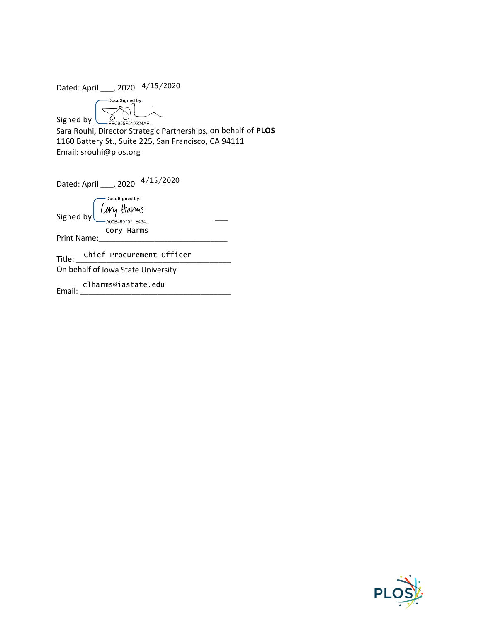Dated: April \_\_\_, 2020 4/15/2020

- DocuSigned by:  $\overline{\mathcal{R}}$ Signed by  $\underline{\mathsf{I}}$  $\alpha$ U

Sara Rouhi, Director Strategic Partnerships, on behalf of **PLOS**  1160 Battery St., Suite 225, San Francisco, CA 94111 Email: srouhi@plos.org

| Dated: April ____, 2020 4/15/2020                                                                                                                                  |  |
|--------------------------------------------------------------------------------------------------------------------------------------------------------------------|--|
| DocuSigned by:<br>Signed by $\left[\begin{array}{c} \begin{array}{c} \text{occus.} \\ \text{or } \\ \text{corot} \end{array} \right]$<br>Cory Harms<br>Print Name: |  |
| Title: Chief Procurement Officer                                                                                                                                   |  |
| On behalf of Iowa State University                                                                                                                                 |  |
| clharms@iastate.edu<br>Email:                                                                                                                                      |  |